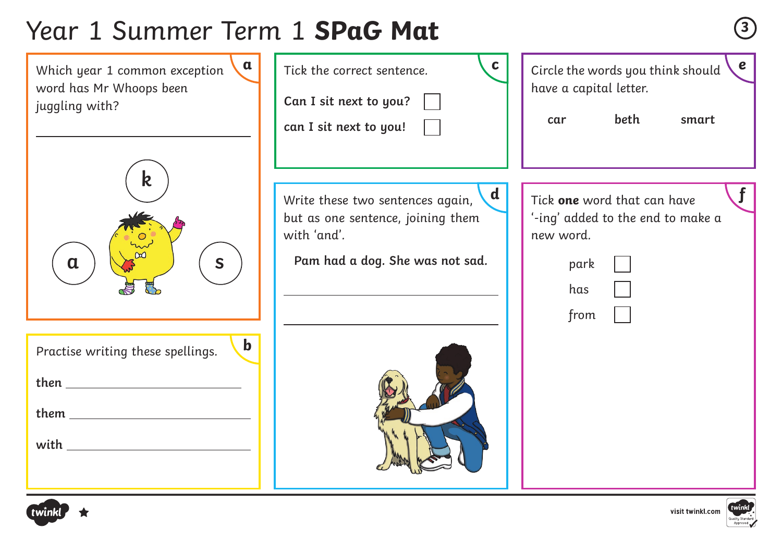# Year 1 Summer Term 1 **SPaG Mat <sup>3</sup>**





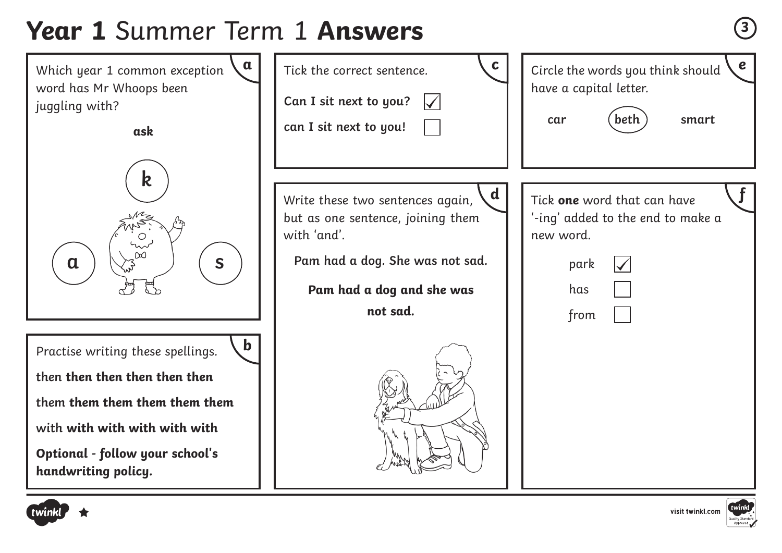# **Year 1** Summer Term 1 **Answers <sup>3</sup>**



visit twinkl.com

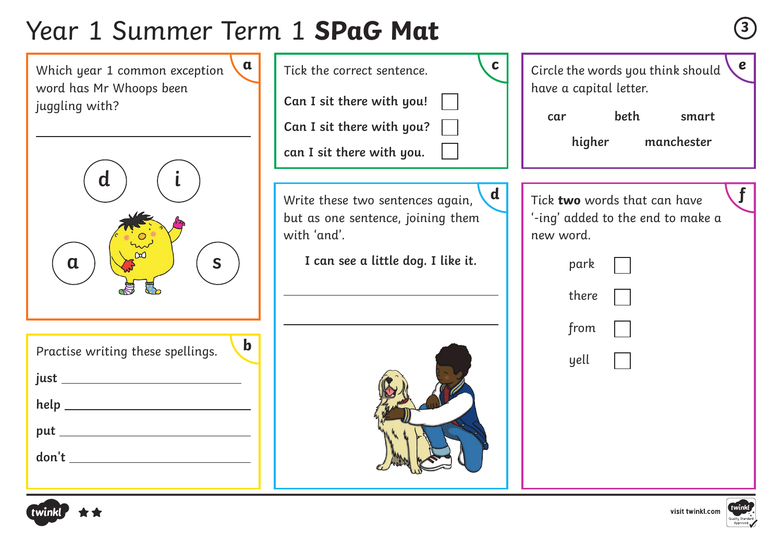# Year 1 Summer Term 1 **SPaG Mat <sup>3</sup>**



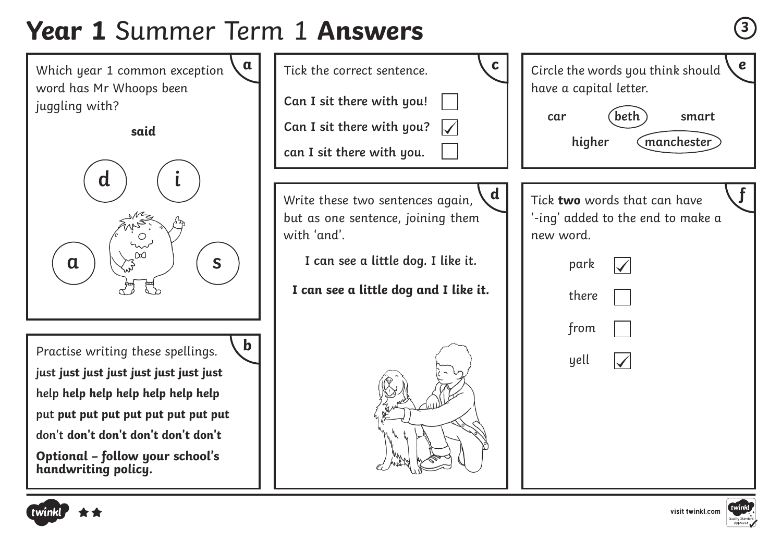# **Year 1** Summer Term 1 **Answers <sup>3</sup>**



visit twinkl.com

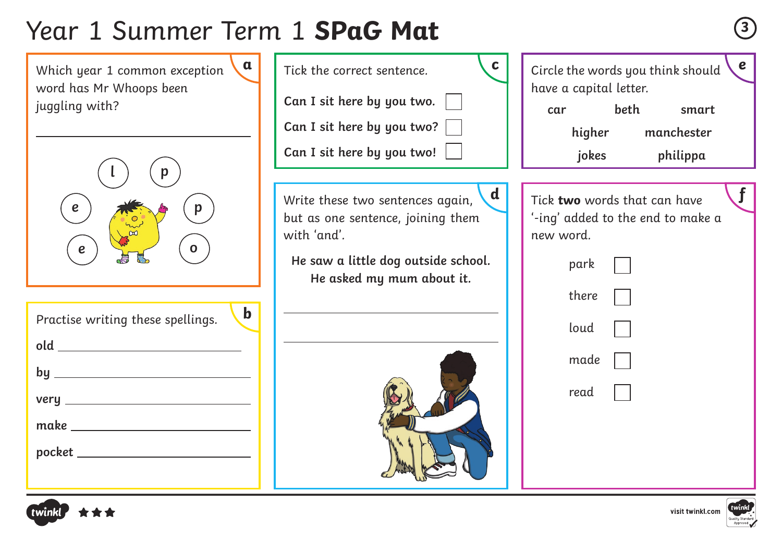# Year 1 Summer Term 1 **SPaG Mat <sup>3</sup>**